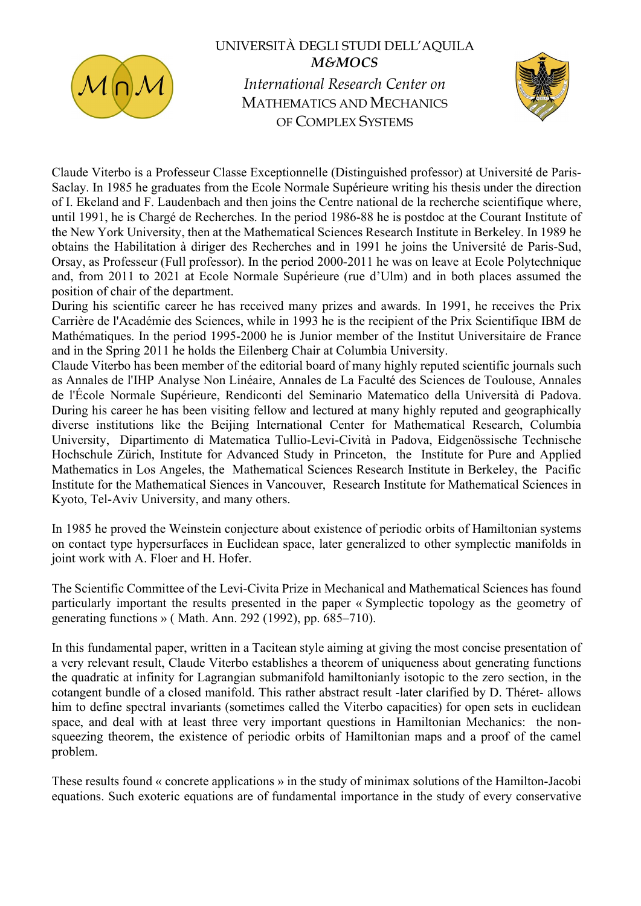

## UNIVERSITÀ DEGLI STUDI DELL'AQUILA M&MOCS International Research Center on

MATHEMATICS AND MECHANICS OF COMPLEX SYSTEMS



Claude Viterbo is a Professeur Classe Exceptionnelle (Distinguished professor) at Université de Paris-Saclay. In 1985 he graduates from the Ecole Normale Supérieure writing his thesis under the direction of I. Ekeland and F. Laudenbach and then joins the Centre national de la recherche scientifique where, until 1991, he is Chargé de Recherches. In the period 1986-88 he is postdoc at the Courant Institute of the New York University, then at the Mathematical Sciences Research Institute in Berkeley. In 1989 he obtains the Habilitation à diriger des Recherches and in 1991 he joins the Université de Paris-Sud, Orsay, as Professeur (Full professor). In the period 2000-2011 he was on leave at Ecole Polytechnique and, from 2011 to 2021 at Ecole Normale Supérieure (rue d'Ulm) and in both places assumed the position of chair of the department.

During his scientific career he has received many prizes and awards. In 1991, he receives the Prix Carrière de l'Académie des Sciences, while in 1993 he is the recipient of the Prix Scientifique IBM de Mathématiques. In the period 1995-2000 he is Junior member of the Institut Universitaire de France and in the Spring 2011 he holds the Eilenberg Chair at Columbia University.

Claude Viterbo has been member of the editorial board of many highly reputed scientific journals such as Annales de l'IHP Analyse Non Linéaire, Annales de La Faculté des Sciences de Toulouse, Annales de l'École Normale Supérieure, Rendiconti del Seminario Matematico della Università di Padova. During his career he has been visiting fellow and lectured at many highly reputed and geographically diverse institutions like the Beijing International Center for Mathematical Research, Columbia University, Dipartimento di Matematica Tullio-Levi-Cività in Padova, Eidgenössische Technische Hochschule Zürich, Institute for Advanced Study in Princeton, the Institute for Pure and Applied Mathematics in Los Angeles, the Mathematical Sciences Research Institute in Berkeley, the Pacific Institute for the Mathematical Siences in Vancouver, Research Institute for Mathematical Sciences in Kyoto, Tel-Aviv University, and many others.

In 1985 he proved the Weinstein conjecture about existence of periodic orbits of Hamiltonian systems on contact type hypersurfaces in Euclidean space, later generalized to other symplectic manifolds in joint work with A. Floer and H. Hofer.

The Scientific Committee of the Levi-Civita Prize in Mechanical and Mathematical Sciences has found particularly important the results presented in the paper « Symplectic topology as the geometry of generating functions » ( Math. Ann. 292 (1992), pp. 685–710).

In this fundamental paper, written in a Tacitean style aiming at giving the most concise presentation of a very relevant result, Claude Viterbo establishes a theorem of uniqueness about generating functions the quadratic at infinity for Lagrangian submanifold hamiltonianly isotopic to the zero section, in the cotangent bundle of a closed manifold. This rather abstract result -later clarified by D. Théret- allows him to define spectral invariants (sometimes called the Viterbo capacities) for open sets in euclidean space, and deal with at least three very important questions in Hamiltonian Mechanics: the nonsqueezing theorem, the existence of periodic orbits of Hamiltonian maps and a proof of the camel problem.

These results found « concrete applications » in the study of minimax solutions of the Hamilton-Jacobi equations. Such exoteric equations are of fundamental importance in the study of every conservative